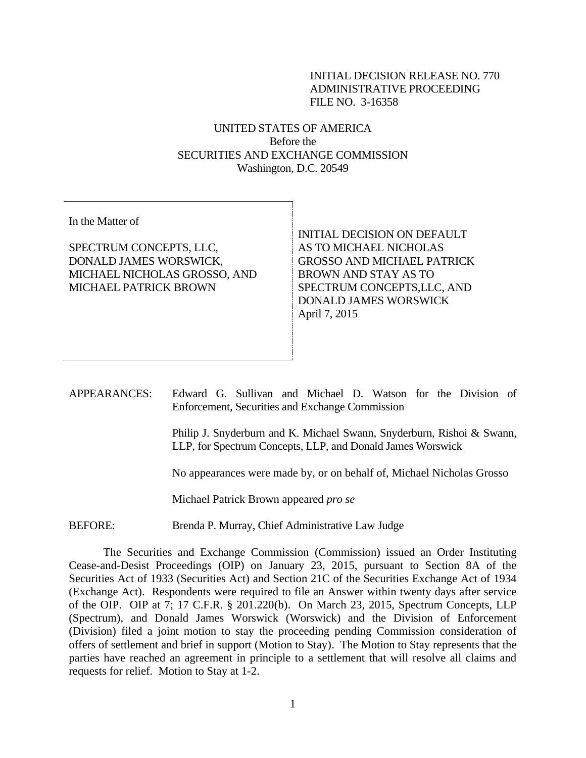# INITIAL DECISION RELEASE NO. 770 ADMINISTRATIVE PROCEEDING FILE NO. 3-16358

# UNITED STATES OF AMERICA Before the SECURITIES AND EXCHANGE COMMISSION Washington, D.C. 20549

In the Matter of

# SPECTRUM CONCEPTS, LLC, DONALD JAMES WORSWICK, MICHAEL NICHOLAS GROSSO, AND MICHAEL PATRICK BROWN

INITIAL DECISION ON DEFAULT AS TO MICHAEL NICHOLAS GROSSO AND MICHAEL PATRICK BROWN AND STAY AS TO SPECTRUM CONCEPTS,LLC, AND DONALD JAMES WORSWICK April 7, 2015

APPEARANCES: Edward G. Sullivan and Michael D. Watson for the Division of Enforcement, Securities and Exchange Commission

> Philip J. Snyderburn and K. Michael Swann, Snyderburn, Rishoi & Swann, LLP, for Spectrum Concepts, LLP, and Donald James Worswick

No appearances were made by, or on behalf of, Michael Nicholas Grosso

Michael Patrick Brown appeared *pro se*

BEFORE: Brenda P. Murray, Chief Administrative Law Judge

The Securities and Exchange Commission (Commission) issued an Order Instituting Cease-and-Desist Proceedings (OIP) on January 23, 2015, pursuant to Section 8A of the Securities Act of 1933 (Securities Act) and Section 21C of the Securities Exchange Act of 1934 (Exchange Act). Respondents were required to file an Answer within twenty days after service of the OIP. OIP at 7; 17 C.F.R. § 201.220(b). On March 23, 2015, Spectrum Concepts, LLP (Spectrum), and Donald James Worswick (Worswick) and the Division of Enforcement (Division) filed a joint motion to stay the proceeding pending Commission consideration of offers of settlement and brief in support (Motion to Stay). The Motion to Stay represents that the parties have reached an agreement in principle to a settlement that will resolve all claims and requests for relief. Motion to Stay at 1-2.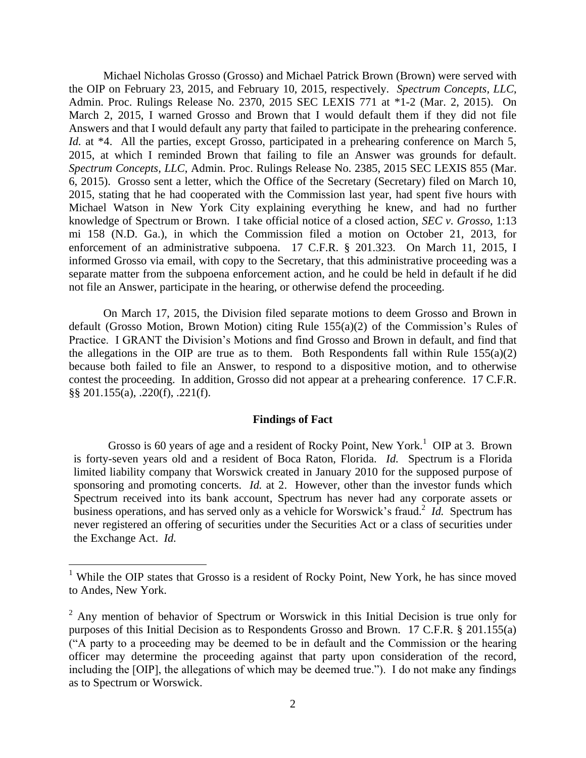Michael Nicholas Grosso (Grosso) and Michael Patrick Brown (Brown) were served with the OIP on February 23, 2015, and February 10, 2015, respectively. *Spectrum Concepts, LLC*, Admin. Proc. Rulings Release No. 2370, 2015 SEC LEXIS 771 at \*1-2 (Mar. 2, 2015). On March 2, 2015, I warned Grosso and Brown that I would default them if they did not file Answers and that I would default any party that failed to participate in the prehearing conference. *Id.* at \*4. All the parties, except Grosso, participated in a prehearing conference on March 5, 2015, at which I reminded Brown that failing to file an Answer was grounds for default. *Spectrum Concepts, LLC*, Admin. Proc. Rulings Release No. 2385, 2015 SEC LEXIS 855 (Mar. 6, 2015). Grosso sent a letter, which the Office of the Secretary (Secretary) filed on March 10, 2015, stating that he had cooperated with the Commission last year, had spent five hours with Michael Watson in New York City explaining everything he knew, and had no further knowledge of Spectrum or Brown. I take official notice of a closed action, *SEC v. Grosso*, 1:13 mi 158 (N.D. Ga.), in which the Commission filed a motion on October 21, 2013, for enforcement of an administrative subpoena. 17 C.F.R. § 201.323. On March 11, 2015, I informed Grosso via email, with copy to the Secretary, that this administrative proceeding was a separate matter from the subpoena enforcement action, and he could be held in default if he did not file an Answer, participate in the hearing, or otherwise defend the proceeding.

On March 17, 2015, the Division filed separate motions to deem Grosso and Brown in default (Grosso Motion, Brown Motion) citing Rule 155(a)(2) of the Commission's Rules of Practice. I GRANT the Division's Motions and find Grosso and Brown in default, and find that the allegations in the OIP are true as to them. Both Respondents fall within Rule  $155(a)(2)$ because both failed to file an Answer, to respond to a dispositive motion, and to otherwise contest the proceeding. In addition, Grosso did not appear at a prehearing conference. 17 C.F.R. §§ 201.155(a), .220(f), .221(f).

### **Findings of Fact**

Grosso is 60 years of age and a resident of Rocky Point, New York.<sup>1</sup> OIP at 3. Brown is forty-seven years old and a resident of Boca Raton, Florida. *Id.* Spectrum is a Florida limited liability company that Worswick created in January 2010 for the supposed purpose of sponsoring and promoting concerts. *Id.* at 2. However, other than the investor funds which Spectrum received into its bank account, Spectrum has never had any corporate assets or business operations, and has served only as a vehicle for Worswick's fraud.<sup>2</sup> *Id.* Spectrum has never registered an offering of securities under the Securities Act or a class of securities under the Exchange Act. *Id.*

 $\overline{a}$ 

<sup>&</sup>lt;sup>1</sup> While the OIP states that Grosso is a resident of Rocky Point, New York, he has since moved to Andes, New York.

 $2$  Any mention of behavior of Spectrum or Worswick in this Initial Decision is true only for purposes of this Initial Decision as to Respondents Grosso and Brown. 17 C.F.R. § 201.155(a) ("A party to a proceeding may be deemed to be in default and the Commission or the hearing officer may determine the proceeding against that party upon consideration of the record, including the [OIP], the allegations of which may be deemed true."). I do not make any findings as to Spectrum or Worswick.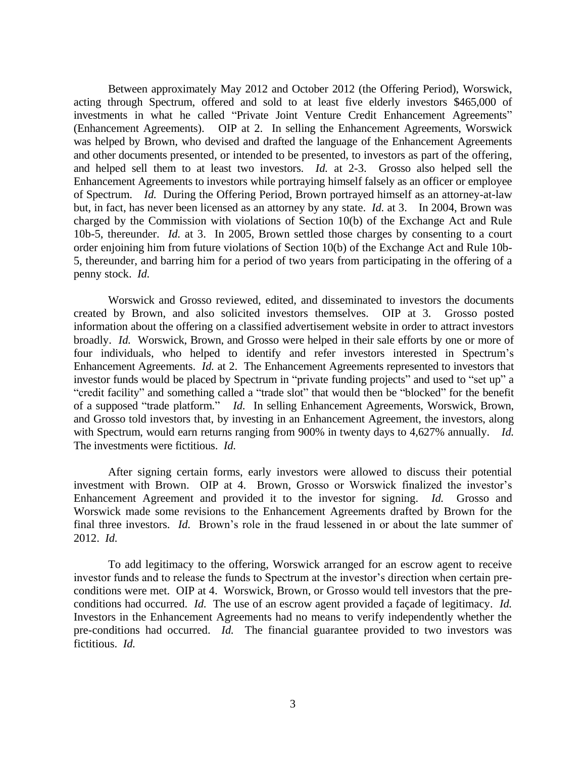Between approximately May 2012 and October 2012 (the Offering Period), Worswick, acting through Spectrum, offered and sold to at least five elderly investors \$465,000 of investments in what he called "Private Joint Venture Credit Enhancement Agreements" (Enhancement Agreements). OIP at 2. In selling the Enhancement Agreements, Worswick was helped by Brown, who devised and drafted the language of the Enhancement Agreements and other documents presented, or intended to be presented, to investors as part of the offering, and helped sell them to at least two investors. *Id.* at 2-3.Grosso also helped sell the Enhancement Agreements to investors while portraying himself falsely as an officer or employee of Spectrum. *Id.* During the Offering Period, Brown portrayed himself as an attorney-at-law but, in fact, has never been licensed as an attorney by any state. *Id.* at 3. In 2004, Brown was charged by the Commission with violations of Section 10(b) of the Exchange Act and Rule 10b-5, thereunder. *Id.* at 3.In 2005, Brown settled those charges by consenting to a court order enjoining him from future violations of Section 10(b) of the Exchange Act and Rule 10b-5, thereunder, and barring him for a period of two years from participating in the offering of a penny stock. *Id.* 

Worswick and Grosso reviewed, edited, and disseminated to investors the documents created by Brown, and also solicited investors themselves. OIP at 3. Grosso posted information about the offering on a classified advertisement website in order to attract investors broadly. *Id.* Worswick, Brown, and Grosso were helped in their sale efforts by one or more of four individuals, who helped to identify and refer investors interested in Spectrum's Enhancement Agreements. *Id.* at 2. The Enhancement Agreements represented to investors that investor funds would be placed by Spectrum in "private funding projects" and used to "set up" a "credit facility" and something called a "trade slot" that would then be "blocked" for the benefit of a supposed "trade platform." *Id.* In selling Enhancement Agreements, Worswick, Brown, and Grosso told investors that, by investing in an Enhancement Agreement, the investors, along with Spectrum, would earn returns ranging from 900% in twenty days to 4,627% annually. *Id.* The investments were fictitious. *Id.*

After signing certain forms, early investors were allowed to discuss their potential investment with Brown. OIP at 4. Brown, Grosso or Worswick finalized the investor's Enhancement Agreement and provided it to the investor for signing. *Id.* Grosso and Worswick made some revisions to the Enhancement Agreements drafted by Brown for the final three investors. *Id.* Brown's role in the fraud lessened in or about the late summer of 2012. *Id.*

To add legitimacy to the offering, Worswick arranged for an escrow agent to receive investor funds and to release the funds to Spectrum at the investor's direction when certain preconditions were met. OIP at 4. Worswick, Brown, or Grosso would tell investors that the preconditions had occurred. *Id.* The use of an escrow agent provided a façade of legitimacy. *Id.* Investors in the Enhancement Agreements had no means to verify independently whether the pre-conditions had occurred. *Id.* The financial guarantee provided to two investors was fictitious. *Id.*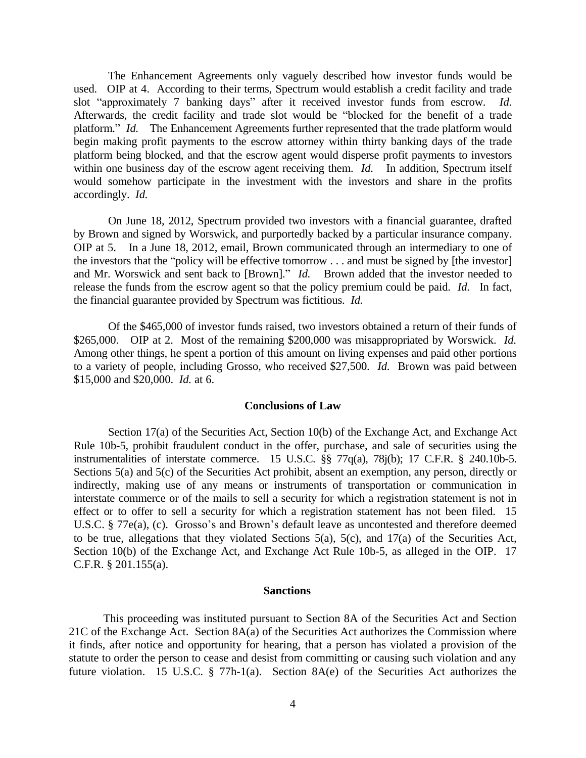The Enhancement Agreements only vaguely described how investor funds would be used. OIP at 4. According to their terms, Spectrum would establish a credit facility and trade slot "approximately 7 banking days" after it received investor funds from escrow. *Id.* Afterwards, the credit facility and trade slot would be "blocked for the benefit of a trade platform." *Id.* The Enhancement Agreements further represented that the trade platform would begin making profit payments to the escrow attorney within thirty banking days of the trade platform being blocked, and that the escrow agent would disperse profit payments to investors within one business day of the escrow agent receiving them. *Id.* In addition, Spectrum itself would somehow participate in the investment with the investors and share in the profits accordingly. *Id.*

On June 18, 2012, Spectrum provided two investors with a financial guarantee, drafted by Brown and signed by Worswick, and purportedly backed by a particular insurance company. OIP at 5. In a June 18, 2012, email, Brown communicated through an intermediary to one of the investors that the "policy will be effective tomorrow . . . and must be signed by [the investor] and Mr. Worswick and sent back to [Brown]." *Id.* Brown added that the investor needed to release the funds from the escrow agent so that the policy premium could be paid. *Id.* In fact, the financial guarantee provided by Spectrum was fictitious. *Id.*

Of the \$465,000 of investor funds raised, two investors obtained a return of their funds of \$265,000. OIP at 2. Most of the remaining \$200,000 was misappropriated by Worswick. *Id.* Among other things, he spent a portion of this amount on living expenses and paid other portions to a variety of people, including Grosso, who received \$27,500. *Id.* Brown was paid between \$15,000 and \$20,000. *Id.* at 6.

#### **Conclusions of Law**

Section 17(a) of the Securities Act, Section 10(b) of the Exchange Act, and Exchange Act Rule 10b-5, prohibit fraudulent conduct in the offer, purchase, and sale of securities using the instrumentalities of interstate commerce. 15 U.S.C. §§ 77q(a), 78j(b); 17 C.F.R. § 240.10b-5. Sections 5(a) and 5(c) of the Securities Act prohibit, absent an exemption, any person, directly or indirectly, making use of any means or instruments of transportation or communication in interstate commerce or of the mails to sell a security for which a registration statement is not in effect or to offer to sell a security for which a registration statement has not been filed. 15 U.S.C. § 77e(a), (c). Grosso's and Brown's default leave as uncontested and therefore deemed to be true, allegations that they violated Sections 5(a), 5(c), and 17(a) of the Securities Act, Section 10(b) of the Exchange Act, and Exchange Act Rule 10b-5, as alleged in the OIP. 17 C.F.R. § 201.155(a).

#### **Sanctions**

This proceeding was instituted pursuant to Section 8A of the Securities Act and Section 21C of the Exchange Act. Section 8A(a) of the Securities Act authorizes the Commission where it finds, after notice and opportunity for hearing, that a person has violated a provision of the statute to order the person to cease and desist from committing or causing such violation and any future violation. 15 U.S.C. § 77h-1(a). Section  $8A(e)$  of the Securities Act authorizes the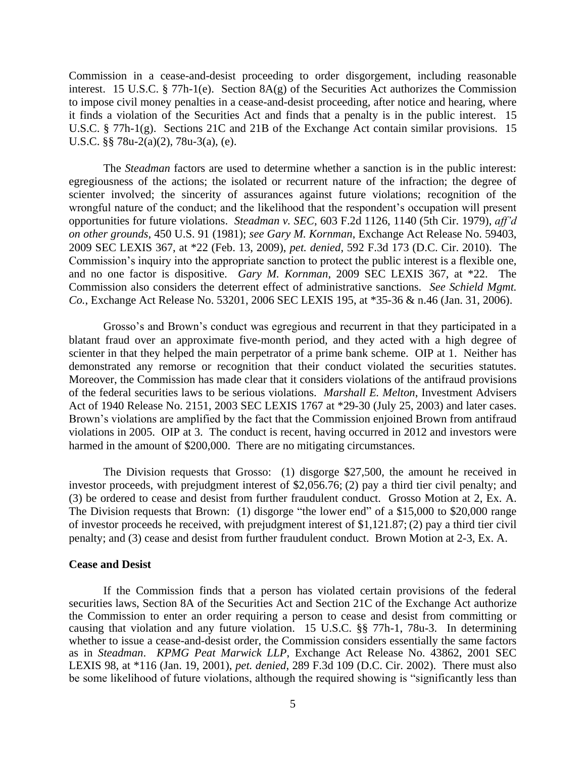Commission in a cease-and-desist proceeding to order disgorgement, including reasonable interest. 15 U.S.C. § 77h-1(e). Section 8A(g) of the Securities Act authorizes the Commission to impose civil money penalties in a cease-and-desist proceeding, after notice and hearing, where it finds a violation of the Securities Act and finds that a penalty is in the public interest. 15 U.S.C. § 77h-1(g). Sections 21C and 21B of the Exchange Act contain similar provisions. 15 U.S.C. §§ 78u-2(a)(2), 78u-3(a), (e).

The *Steadman* factors are used to determine whether a sanction is in the public interest: egregiousness of the actions; the isolated or recurrent nature of the infraction; the degree of scienter involved; the sincerity of assurances against future violations; recognition of the wrongful nature of the conduct; and the likelihood that the respondent's occupation will present opportunities for future violations. *Steadman v. SEC*, 603 F.2d 1126, 1140 (5th Cir. 1979), *aff'd on other grounds*, 450 U.S. 91 (1981); *see Gary M. Kornman*, Exchange Act Release No. 59403, 2009 SEC LEXIS 367, at \*22 (Feb. 13, 2009), *pet. denied*, 592 F.3d 173 (D.C. Cir. 2010).The Commission's inquiry into the appropriate sanction to protect the public interest is a flexible one, and no one factor is dispositive. *Gary M. Kornman*, 2009 SEC LEXIS 367, at \*22. The Commission also considers the deterrent effect of administrative sanctions. *See Schield Mgmt. Co.*, Exchange Act Release No. 53201, 2006 SEC LEXIS 195, at \*35-36 & n.46 (Jan. 31, 2006).

Grosso's and Brown's conduct was egregious and recurrent in that they participated in a blatant fraud over an approximate five-month period, and they acted with a high degree of scienter in that they helped the main perpetrator of a prime bank scheme. OIP at 1. Neither has demonstrated any remorse or recognition that their conduct violated the securities statutes. Moreover, the Commission has made clear that it considers violations of the antifraud provisions of the federal securities laws to be serious violations. *Marshall E. Melton*, Investment Advisers Act of 1940 Release No. 2151, 2003 SEC LEXIS 1767 at \*29-30 (July 25, 2003) and later cases. Brown's violations are amplified by the fact that the Commission enjoined Brown from antifraud violations in 2005. OIP at 3. The conduct is recent, having occurred in 2012 and investors were harmed in the amount of \$200,000. There are no mitigating circumstances.

The Division requests that Grosso: (1) disgorge \$27,500, the amount he received in investor proceeds, with prejudgment interest of \$2,056.76; (2) pay a third tier civil penalty; and (3) be ordered to cease and desist from further fraudulent conduct. Grosso Motion at 2, Ex. A. The Division requests that Brown: (1) disgorge "the lower end" of a \$15,000 to \$20,000 range of investor proceeds he received, with prejudgment interest of \$1,121.87; (2) pay a third tier civil penalty; and (3) cease and desist from further fraudulent conduct. Brown Motion at 2-3, Ex. A.

### **Cease and Desist**

If the Commission finds that a person has violated certain provisions of the federal securities laws, Section 8A of the Securities Act and Section 21C of the Exchange Act authorize the Commission to enter an order requiring a person to cease and desist from committing or causing that violation and any future violation. 15 U.S.C. §§ 77h-1, 78u-3. In determining whether to issue a cease-and-desist order, the Commission considers essentially the same factors as in *Steadman*. *KPMG Peat Marwick LLP*, Exchange Act Release No. 43862, 2001 SEC LEXIS 98, at \*116 (Jan. 19, 2001), *pet. denied*, 289 F.3d 109 (D.C. Cir. 2002). There must also be some likelihood of future violations, although the required showing is "significantly less than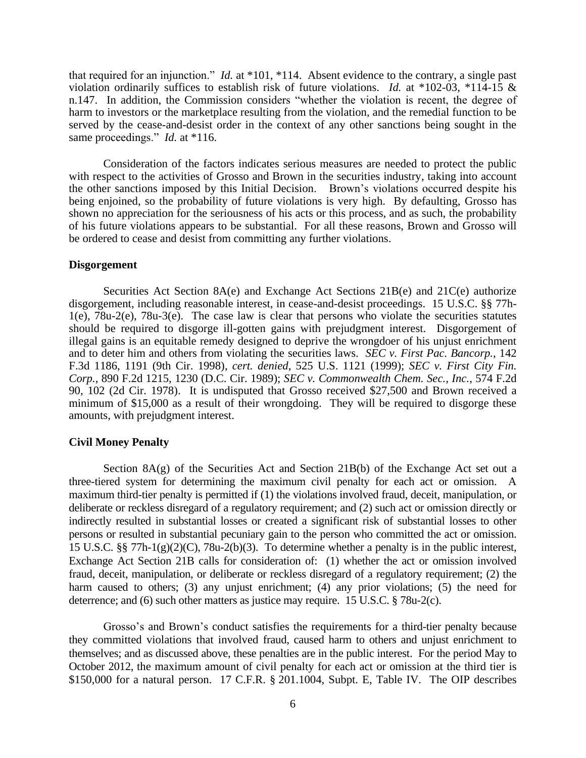that required for an injunction." *Id.* at \*101, \*114. Absent evidence to the contrary, a single past violation ordinarily suffices to establish risk of future violations. *Id.* at \*102-03, \*114-15 & n.147. In addition, the Commission considers "whether the violation is recent, the degree of harm to investors or the marketplace resulting from the violation, and the remedial function to be served by the cease-and-desist order in the context of any other sanctions being sought in the same proceedings." *Id.* at \*116.

Consideration of the factors indicates serious measures are needed to protect the public with respect to the activities of Grosso and Brown in the securities industry, taking into account the other sanctions imposed by this Initial Decision. Brown's violations occurred despite his being enjoined, so the probability of future violations is very high. By defaulting, Grosso has shown no appreciation for the seriousness of his acts or this process, and as such, the probability of his future violations appears to be substantial. For all these reasons, Brown and Grosso will be ordered to cease and desist from committing any further violations.

### **Disgorgement**

Securities Act Section 8A(e) and Exchange Act Sections 21B(e) and 21C(e) authorize disgorgement, including reasonable interest, in cease-and-desist proceedings. 15 U.S.C. §§ 77h-1(e), 78u-2(e), 78u-3(e). The case law is clear that persons who violate the securities statutes should be required to disgorge ill-gotten gains with prejudgment interest. Disgorgement of illegal gains is an equitable remedy designed to deprive the wrongdoer of his unjust enrichment and to deter him and others from violating the securities laws. *SEC v. First Pac. Bancorp.*, 142 F.3d 1186, 1191 (9th Cir. 1998), *cert. denied*, 525 U.S. 1121 (1999); *SEC v. First City Fin. Corp.*, 890 F.2d 1215, 1230 (D.C. Cir. 1989); *SEC v. Commonwealth Chem. Sec., Inc.*, 574 F.2d 90, 102 (2d Cir. 1978). It is undisputed that Grosso received \$27,500 and Brown received a minimum of \$15,000 as a result of their wrongdoing. They will be required to disgorge these amounts, with prejudgment interest.

## **Civil Money Penalty**

Section 8A(g) of the Securities Act and Section 21B(b) of the Exchange Act set out a three-tiered system for determining the maximum civil penalty for each act or omission. A maximum third-tier penalty is permitted if (1) the violations involved fraud, deceit, manipulation, or deliberate or reckless disregard of a regulatory requirement; and (2) such act or omission directly or indirectly resulted in substantial losses or created a significant risk of substantial losses to other persons or resulted in substantial pecuniary gain to the person who committed the act or omission. 15 U.S.C. §§ 77h-1(g)(2)(C), 78u-2(b)(3). To determine whether a penalty is in the public interest, Exchange Act Section 21B calls for consideration of: (1) whether the act or omission involved fraud, deceit, manipulation, or deliberate or reckless disregard of a regulatory requirement; (2) the harm caused to others; (3) any unjust enrichment; (4) any prior violations; (5) the need for deterrence; and (6) such other matters as justice may require. 15 U.S.C. § 78u-2(c).

Grosso's and Brown's conduct satisfies the requirements for a third-tier penalty because they committed violations that involved fraud, caused harm to others and unjust enrichment to themselves; and as discussed above, these penalties are in the public interest. For the period May to October 2012, the maximum amount of civil penalty for each act or omission at the third tier is \$150,000 for a natural person. 17 C.F.R. § 201.1004, Subpt. E, Table IV. The OIP describes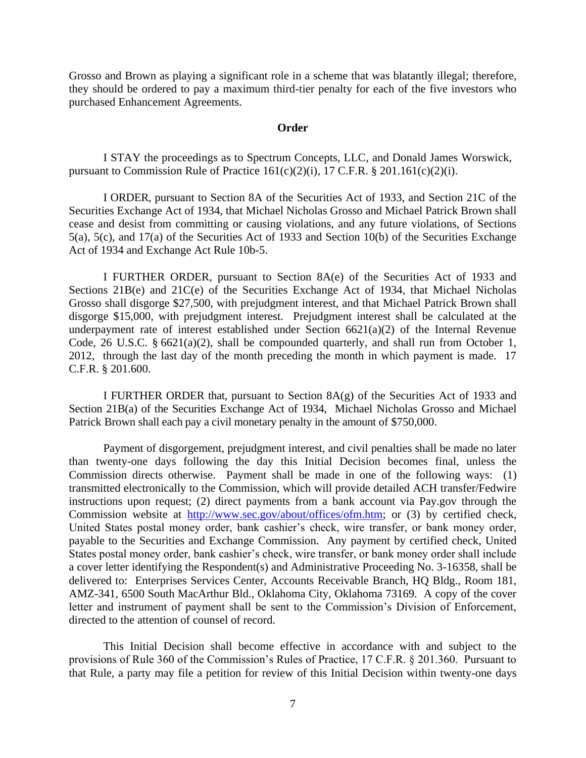Grosso and Brown as playing a significant role in a scheme that was blatantly illegal; therefore, they should be ordered to pay a maximum third-tier penalty for each of the five investors who purchased Enhancement Agreements.

## **Order**

I STAY the proceedings as to Spectrum Concepts, LLC, and Donald James Worswick, pursuant to Commission Rule of Practice  $161(c)(2)(i)$ , 17 C.F.R. § 201.161(c)(2)(i).

I ORDER, pursuant to Section 8A of the Securities Act of 1933, and Section 21C of the Securities Exchange Act of 1934, that Michael Nicholas Grosso and Michael Patrick Brown shall cease and desist from committing or causing violations, and any future violations, of Sections 5(a), 5(c), and 17(a) of the Securities Act of 1933 and Section 10(b) of the Securities Exchange Act of 1934 and Exchange Act Rule 10b-5.

I FURTHER ORDER, pursuant to Section 8A(e) of the Securities Act of 1933 and Sections 21B(e) and 21C(e) of the Securities Exchange Act of 1934, that Michael Nicholas Grosso shall disgorge \$27,500, with prejudgment interest, and that Michael Patrick Brown shall disgorge \$15,000, with prejudgment interest. Prejudgment interest shall be calculated at the underpayment rate of interest established under Section  $6621(a)(2)$  of the Internal Revenue Code, 26 U.S.C. § 6621(a)(2), shall be compounded quarterly, and shall run from October 1, 2012, through the last day of the month preceding the month in which payment is made. 17 C.F.R. § 201.600.

I FURTHER ORDER that, pursuant to Section 8A(g) of the Securities Act of 1933 and Section 21B(a) of the Securities Exchange Act of 1934, Michael Nicholas Grosso and Michael Patrick Brown shall each pay a civil monetary penalty in the amount of \$750,000.

Payment of disgorgement, prejudgment interest, and civil penalties shall be made no later than twenty-one days following the day this Initial Decision becomes final, unless the Commission directs otherwise. Payment shall be made in one of the following ways: (1) transmitted electronically to the Commission, which will provide detailed ACH transfer/Fedwire instructions upon request; (2) direct payments from a bank account via Pay.gov through the Commission website at http://www.sec.gov/about/offices/ofm.htm; or (3) by certified check, United States postal money order, bank cashier's check, wire transfer, or bank money order, payable to the Securities and Exchange Commission. Any payment by certified check, United States postal money order, bank cashier's check, wire transfer, or bank money order shall include a cover letter identifying the Respondent(s) and Administrative Proceeding No. 3-16358, shall be delivered to: Enterprises Services Center, Accounts Receivable Branch, HQ Bldg., Room 181, AMZ-341, 6500 South MacArthur Bld., Oklahoma City, Oklahoma 73169. A copy of the cover letter and instrument of payment shall be sent to the Commission's Division of Enforcement, directed to the attention of counsel of record.

This Initial Decision shall become effective in accordance with and subject to the provisions of Rule 360 of the Commission's Rules of Practice, 17 C.F.R. § 201.360. Pursuant to that Rule, a party may file a petition for review of this Initial Decision within twenty-one days